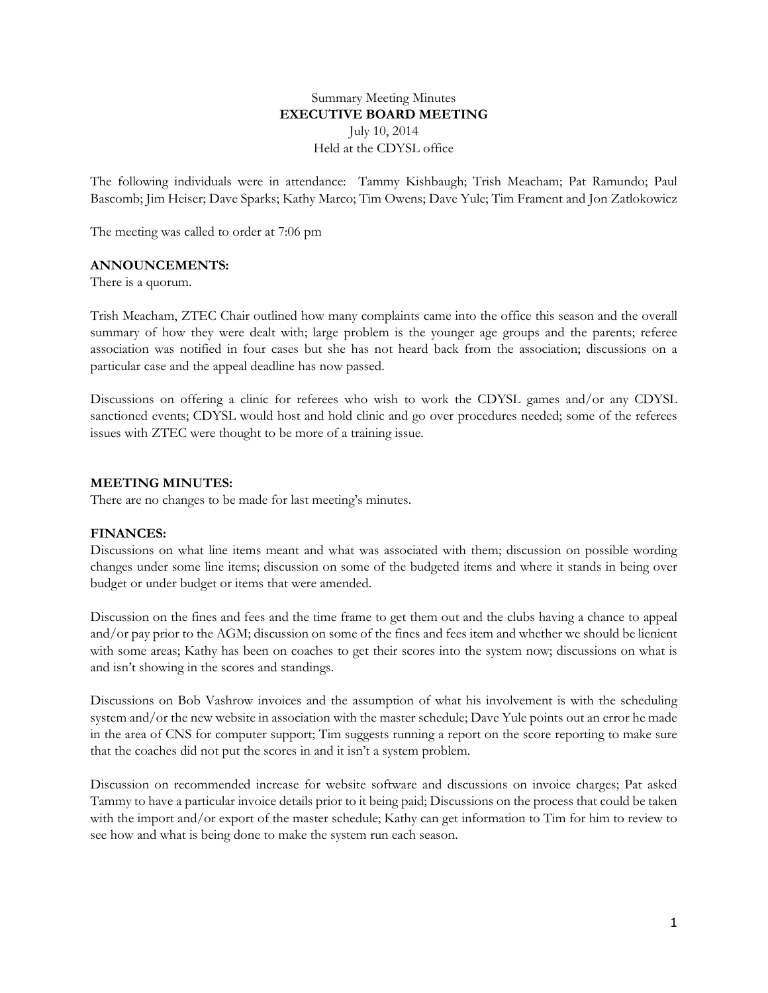# Summary Meeting Minutes **EXECUTIVE BOARD MEETING** July 10, 2014 Held at the CDYSL office

The following individuals were in attendance: Tammy Kishbaugh; Trish Meacham; Pat Ramundo; Paul Bascomb; Jim Heiser; Dave Sparks; Kathy Marco; Tim Owens; Dave Yule; Tim Frament and Jon Zatlokowicz

The meeting was called to order at 7:06 pm

### **ANNOUNCEMENTS:**

There is a quorum.

Trish Meacham, ZTEC Chair outlined how many complaints came into the office this season and the overall summary of how they were dealt with; large problem is the younger age groups and the parents; referee association was notified in four cases but she has not heard back from the association; discussions on a particular case and the appeal deadline has now passed.

Discussions on offering a clinic for referees who wish to work the CDYSL games and/or any CDYSL sanctioned events; CDYSL would host and hold clinic and go over procedures needed; some of the referees issues with ZTEC were thought to be more of a training issue.

### **MEETING MINUTES:**

There are no changes to be made for last meeting's minutes.

#### **FINANCES:**

Discussions on what line items meant and what was associated with them; discussion on possible wording changes under some line items; discussion on some of the budgeted items and where it stands in being over budget or under budget or items that were amended.

Discussion on the fines and fees and the time frame to get them out and the clubs having a chance to appeal and/or pay prior to the AGM; discussion on some of the fines and fees item and whether we should be lienient with some areas; Kathy has been on coaches to get their scores into the system now; discussions on what is and isn't showing in the scores and standings.

Discussions on Bob Vashrow invoices and the assumption of what his involvement is with the scheduling system and/or the new website in association with the master schedule; Dave Yule points out an error he made in the area of CNS for computer support; Tim suggests running a report on the score reporting to make sure that the coaches did not put the scores in and it isn't a system problem.

Discussion on recommended increase for website software and discussions on invoice charges; Pat asked Tammy to have a particular invoice details prior to it being paid; Discussions on the process that could be taken with the import and/or export of the master schedule; Kathy can get information to Tim for him to review to see how and what is being done to make the system run each season.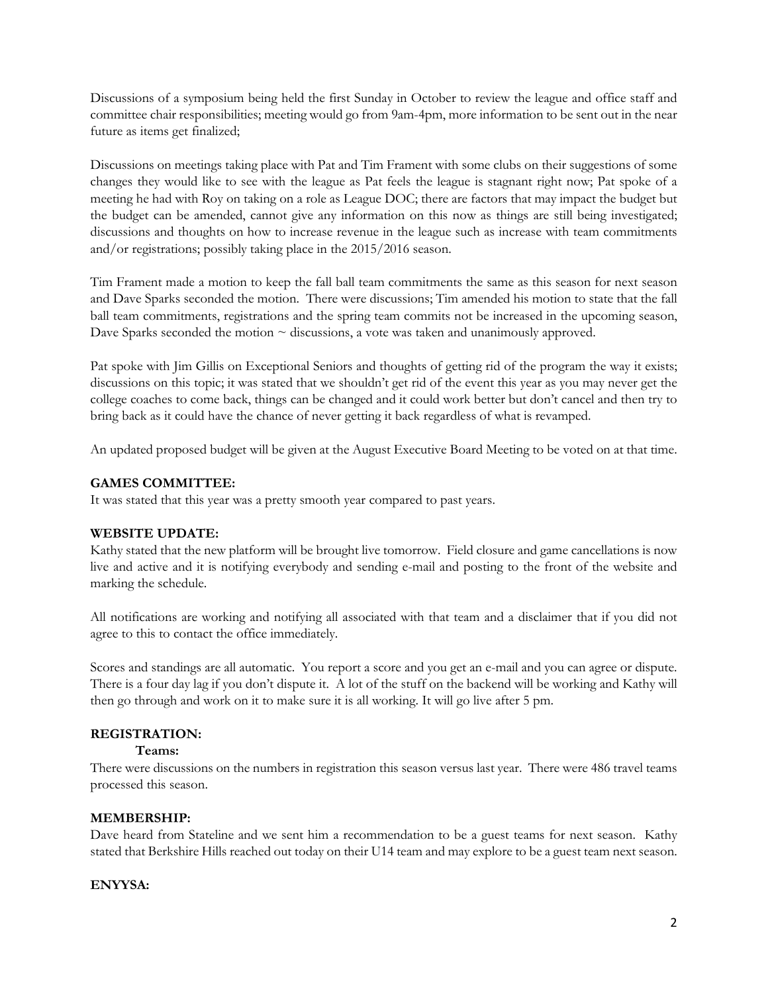Discussions of a symposium being held the first Sunday in October to review the league and office staff and committee chair responsibilities; meeting would go from 9am-4pm, more information to be sent out in the near future as items get finalized;

Discussions on meetings taking place with Pat and Tim Frament with some clubs on their suggestions of some changes they would like to see with the league as Pat feels the league is stagnant right now; Pat spoke of a meeting he had with Roy on taking on a role as League DOC; there are factors that may impact the budget but the budget can be amended, cannot give any information on this now as things are still being investigated; discussions and thoughts on how to increase revenue in the league such as increase with team commitments and/or registrations; possibly taking place in the 2015/2016 season.

Tim Frament made a motion to keep the fall ball team commitments the same as this season for next season and Dave Sparks seconded the motion. There were discussions; Tim amended his motion to state that the fall ball team commitments, registrations and the spring team commits not be increased in the upcoming season, Dave Sparks seconded the motion  $\sim$  discussions, a vote was taken and unanimously approved.

Pat spoke with Jim Gillis on Exceptional Seniors and thoughts of getting rid of the program the way it exists; discussions on this topic; it was stated that we shouldn't get rid of the event this year as you may never get the college coaches to come back, things can be changed and it could work better but don't cancel and then try to bring back as it could have the chance of never getting it back regardless of what is revamped.

An updated proposed budget will be given at the August Executive Board Meeting to be voted on at that time.

# **GAMES COMMITTEE:**

It was stated that this year was a pretty smooth year compared to past years.

## **WEBSITE UPDATE:**

Kathy stated that the new platform will be brought live tomorrow. Field closure and game cancellations is now live and active and it is notifying everybody and sending e-mail and posting to the front of the website and marking the schedule.

All notifications are working and notifying all associated with that team and a disclaimer that if you did not agree to this to contact the office immediately.

Scores and standings are all automatic. You report a score and you get an e-mail and you can agree or dispute. There is a four day lag if you don't dispute it. A lot of the stuff on the backend will be working and Kathy will then go through and work on it to make sure it is all working. It will go live after 5 pm.

# **REGISTRATION:**

## **Teams:**

There were discussions on the numbers in registration this season versus last year. There were 486 travel teams processed this season.

## **MEMBERSHIP:**

Dave heard from Stateline and we sent him a recommendation to be a guest teams for next season. Kathy stated that Berkshire Hills reached out today on their U14 team and may explore to be a guest team next season.

## **ENYYSA:**